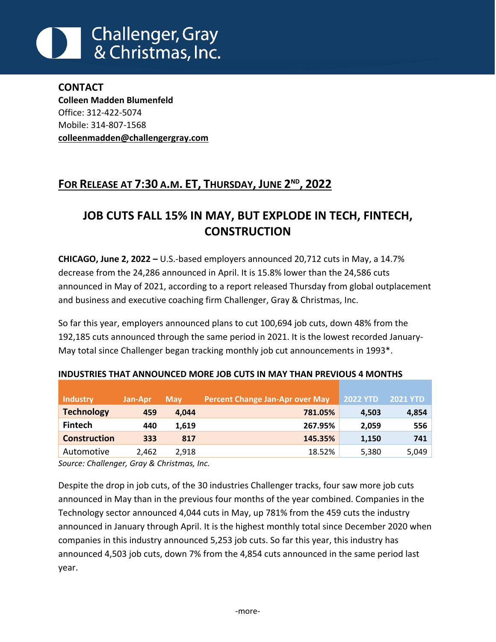# **Challenger, Gray** & Christmas, Inc.

**CONTACT Colleen Madden Blumenfeld**  Office: 312-422-5074 Mobile: 314-807-1568 **[colleenmadden@challengergray.com](mailto:colleenmadden@challengergray.com)**

# **FOR RELEASE AT 7:30 A.M. ET, THURSDAY, JUNE 2 ND , 2022**

# **JOB CUTS FALL 15% IN MAY, BUT EXPLODE IN TECH, FINTECH, CONSTRUCTION**

**CHICAGO, June 2, 2022 –** U.S.-based employers announced 20,712 cuts in May, a 14.7% decrease from the 24,286 announced in April. It is 15.8% lower than the 24,586 cuts announced in May of 2021, according to a report released Thursday from global outplacement and business and executive coaching firm Challenger, Gray & Christmas, Inc.

So far this year, employers announced plans to cut 100,694 job cuts, down 48% from the 192,185 cuts announced through the same period in 2021. It is the lowest recorded January-May total since Challenger began tracking monthly job cut announcements in 1993\*.

| <b>Industry</b>     | Jan-Apr | <b>May</b> | Percent Change Jan-Apr over May | <b>2022 YTD</b> | <b>2021 YTD</b> |
|---------------------|---------|------------|---------------------------------|-----------------|-----------------|
| <b>Technology</b>   | 459     | 4.044      | 781.05%                         | 4,503           | 4,854           |
| <b>Fintech</b>      | 440     | 1,619      | 267.95%                         | 2,059           | 556             |
| <b>Construction</b> | 333     | 817        | 145.35%                         | 1,150           | 741             |
| Automotive          | 2.462   | 2.918      | 18.52%                          | 5,380           | 5,049           |

#### **INDUSTRIES THAT ANNOUNCED MORE JOB CUTS IN MAY THAN PREVIOUS 4 MONTHS**

*Source: Challenger, Gray & Christmas, Inc.*

Despite the drop in job cuts, of the 30 industries Challenger tracks, four saw more job cuts announced in May than in the previous four months of the year combined. Companies in the Technology sector announced 4,044 cuts in May, up 781% from the 459 cuts the industry announced in January through April. It is the highest monthly total since December 2020 when companies in this industry announced 5,253 job cuts. So far this year, this industry has announced 4,503 job cuts, down 7% from the 4,854 cuts announced in the same period last year.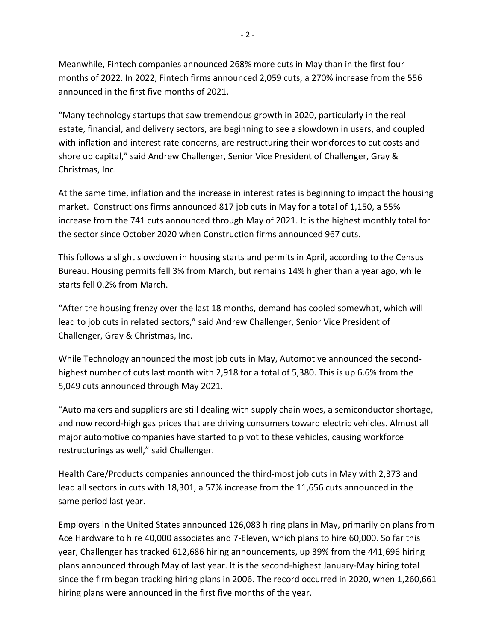Meanwhile, Fintech companies announced 268% more cuts in May than in the first four months of 2022. In 2022, Fintech firms announced 2,059 cuts, a 270% increase from the 556 announced in the first five months of 2021.

"Many technology startups that saw tremendous growth in 2020, particularly in the real estate, financial, and delivery sectors, are beginning to see a slowdown in users, and coupled with inflation and interest rate concerns, are restructuring their workforces to cut costs and shore up capital," said Andrew Challenger, Senior Vice President of Challenger, Gray & Christmas, Inc.

At the same time, inflation and the increase in interest rates is beginning to impact the housing market. Constructions firms announced 817 job cuts in May for a total of 1,150, a 55% increase from the 741 cuts announced through May of 2021. It is the highest monthly total for the sector since October 2020 when Construction firms announced 967 cuts.

This follows a slight slowdown in housing starts and permits in April, according to the Census Bureau. Housing permits fell 3% from March, but remains 14% higher than a year ago, while starts fell 0.2% from March.

"After the housing frenzy over the last 18 months, demand has cooled somewhat, which will lead to job cuts in related sectors," said Andrew Challenger, Senior Vice President of Challenger, Gray & Christmas, Inc.

While Technology announced the most job cuts in May, Automotive announced the secondhighest number of cuts last month with 2,918 for a total of 5,380. This is up 6.6% from the 5,049 cuts announced through May 2021.

"Auto makers and suppliers are still dealing with supply chain woes, a semiconductor shortage, and now record-high gas prices that are driving consumers toward electric vehicles. Almost all major automotive companies have started to pivot to these vehicles, causing workforce restructurings as well," said Challenger.

Health Care/Products companies announced the third-most job cuts in May with 2,373 and lead all sectors in cuts with 18,301, a 57% increase from the 11,656 cuts announced in the same period last year.

Employers in the United States announced 126,083 hiring plans in May, primarily on plans from Ace Hardware to hire 40,000 associates and 7-Eleven, which plans to hire 60,000. So far this year, Challenger has tracked 612,686 hiring announcements, up 39% from the 441,696 hiring plans announced through May of last year. It is the second-highest January-May hiring total since the firm began tracking hiring plans in 2006. The record occurred in 2020, when 1,260,661 hiring plans were announced in the first five months of the year.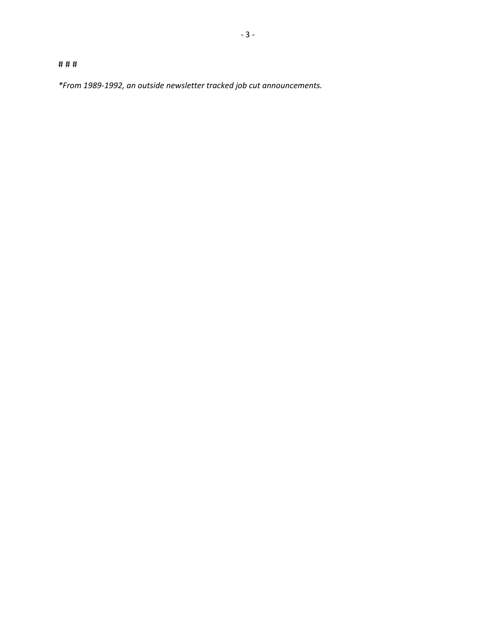# # #

*\*From 1989-1992, an outside newsletter tracked job cut announcements.*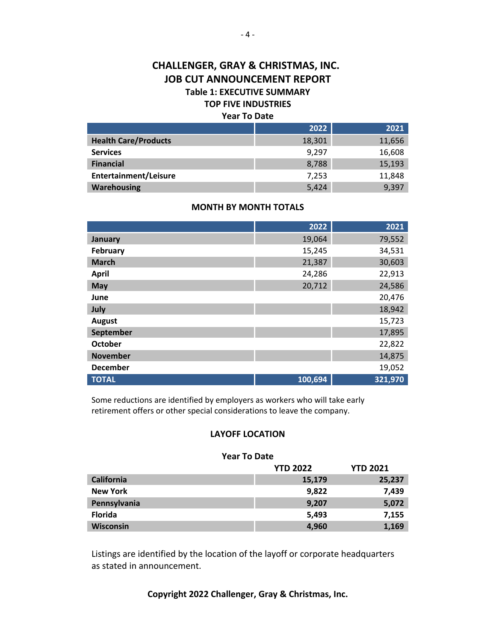### **CHALLENGER, GRAY & CHRISTMAS, INC. JOB CUT ANNOUNCEMENT REPORT Table 1: EXECUTIVE SUMMARY**

# **TOP FIVE INDUSTRIES**

#### **Year To Date**

|                              | 2022   | 2021   |
|------------------------------|--------|--------|
| <b>Health Care/Products</b>  | 18,301 | 11,656 |
| <b>Services</b>              | 9,297  | 16,608 |
| <b>Financial</b>             | 8,788  | 15,193 |
| <b>Entertainment/Leisure</b> | 7,253  | 11,848 |
| <b>Warehousing</b>           | 5,424  | 9,397  |

#### **MONTH BY MONTH TOTALS**

|                 | 2022    | 2021    |
|-----------------|---------|---------|
| January         | 19,064  | 79,552  |
| February        | 15,245  | 34,531  |
| <b>March</b>    | 21,387  | 30,603  |
| <b>April</b>    | 24,286  | 22,913  |
| May             | 20,712  | 24,586  |
| June            |         | 20,476  |
| July            |         | 18,942  |
| <b>August</b>   |         | 15,723  |
| September       |         | 17,895  |
| <b>October</b>  |         | 22,822  |
| <b>November</b> |         | 14,875  |
| <b>December</b> |         | 19,052  |
| <b>TOTAL</b>    | 100,694 | 321,970 |

Some reductions are identified by employers as workers who will take early retirement offers or other special considerations to leave the company.

#### **LAYOFF LOCATION**

#### **Year To Date**

|                   | <b>YTD 2022</b> | <b>YTD 2021</b> |
|-------------------|-----------------|-----------------|
| <b>California</b> | 15,179          | 25,237          |
| <b>New York</b>   | 9,822           | 7,439           |
| Pennsylvania      | 9,207           | 5,072           |
| <b>Florida</b>    | 5,493           | 7,155           |
| <b>Wisconsin</b>  | 4,960           | 1,169           |

Listings are identified by the location of the layoff or corporate headquarters as stated in announcement.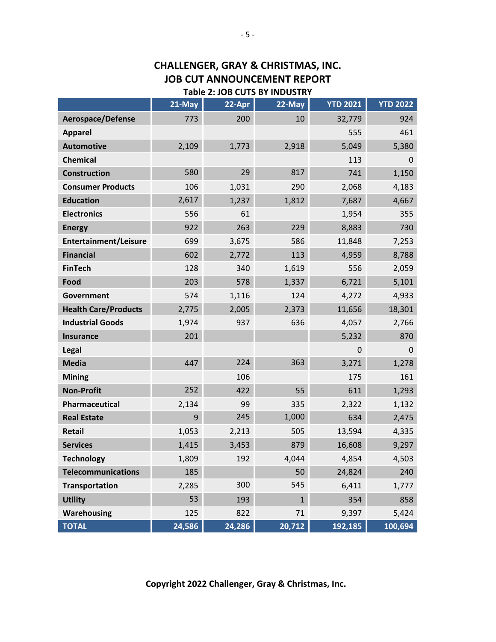### **CHALLENGER, GRAY & CHRISTMAS, INC. JOB CUT ANNOUNCEMENT REPORT Table 2: JOB CUTS BY INDUSTRY**

|                             | 21-May | 22-Apr | $22-May$     | <b>YTD 2021</b> | <b>YTD 2022</b> |
|-----------------------------|--------|--------|--------------|-----------------|-----------------|
| <b>Aerospace/Defense</b>    | 773    | 200    | 10           | 32,779          | 924             |
| <b>Apparel</b>              |        |        |              | 555             | 461             |
| <b>Automotive</b>           | 2,109  | 1,773  | 2,918        | 5,049           | 5,380           |
| <b>Chemical</b>             |        |        |              | 113             | 0               |
| <b>Construction</b>         | 580    | 29     | 817          | 741             | 1,150           |
| <b>Consumer Products</b>    | 106    | 1,031  | 290          | 2,068           | 4,183           |
| <b>Education</b>            | 2,617  | 1,237  | 1,812        | 7,687           | 4,667           |
| <b>Electronics</b>          | 556    | 61     |              | 1,954           | 355             |
| <b>Energy</b>               | 922    | 263    | 229          | 8,883           | 730             |
| Entertainment/Leisure       | 699    | 3,675  | 586          | 11,848          | 7,253           |
| <b>Financial</b>            | 602    | 2,772  | 113          | 4,959           | 8,788           |
| <b>FinTech</b>              | 128    | 340    | 1,619        | 556             | 2,059           |
| Food                        | 203    | 578    | 1,337        | 6,721           | 5,101           |
| Government                  | 574    | 1,116  | 124          | 4,272           | 4,933           |
| <b>Health Care/Products</b> | 2,775  | 2,005  | 2,373        | 11,656          | 18,301          |
| <b>Industrial Goods</b>     | 1,974  | 937    | 636          | 4,057           | 2,766           |
| Insurance                   | 201    |        |              | 5,232           | 870             |
| Legal                       |        |        |              | 0               | $\Omega$        |
| <b>Media</b>                | 447    | 224    | 363          | 3,271           | 1,278           |
| <b>Mining</b>               |        | 106    |              | 175             | 161             |
| <b>Non-Profit</b>           | 252    | 422    | 55           | 611             | 1,293           |
| Pharmaceutical              | 2,134  | 99     | 335          | 2,322           | 1,132           |
| <b>Real Estate</b>          | 9      | 245    | 1,000        | 634             | 2,475           |
| Retail                      | 1,053  | 2,213  | 505          | 13,594          | 4,335           |
| <b>Services</b>             | 1,415  | 3,453  | 879          | 16,608          | 9,297           |
| <b>Technology</b>           | 1,809  | 192    | 4,044        | 4,854           | 4,503           |
| <b>Telecommunications</b>   | 185    |        | 50           | 24,824          | 240             |
| <b>Transportation</b>       | 2,285  | 300    | 545          | 6,411           | 1,777           |
| <b>Utility</b>              | 53     | 193    | $\mathbf{1}$ | 354             | 858             |
| Warehousing                 | 125    | 822    | 71           | 9,397           | 5,424           |
| <b>TOTAL</b>                | 24,586 | 24,286 | 20,712       | 192,185         | 100,694         |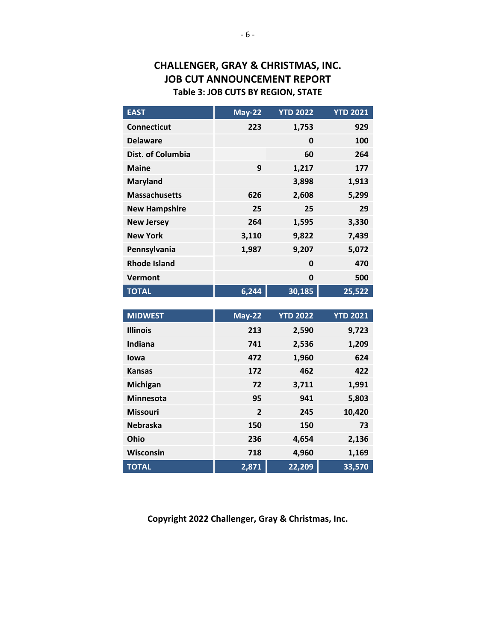## **CHALLENGER, GRAY & CHRISTMAS, INC. JOB CUT ANNOUNCEMENT REPORT Table 3: JOB CUTS BY REGION, STATE**

| <b>EAST</b>          | <b>May-22</b> | <b>YTD 2022</b> | <b>YTD 2021</b> |
|----------------------|---------------|-----------------|-----------------|
| <b>Connecticut</b>   | 223           | 1,753           | 929             |
| <b>Delaware</b>      |               | 0               | 100             |
| Dist. of Columbia    |               | 60              | 264             |
| <b>Maine</b>         | 9             | 1,217           | 177             |
| <b>Maryland</b>      |               | 3,898           | 1,913           |
| <b>Massachusetts</b> | 626           | 2,608           | 5,299           |
| <b>New Hampshire</b> | 25            | 25              | 29              |
| <b>New Jersey</b>    | 264           | 1,595           | 3,330           |
| <b>New York</b>      | 3,110         | 9,822           | 7,439           |
| Pennsylvania         | 1,987         | 9,207           | 5,072           |
| <b>Rhode Island</b>  |               | 0               | 470             |
| Vermont              |               | 0               | 500             |
| <b>TOTAL</b>         | 6,244         | 30,185          | 25,522          |

| <b>MIDWEST</b>   | <b>May-22</b>  | <b>YTD 2022</b> | <b>YTD 2021</b> |
|------------------|----------------|-----------------|-----------------|
| <b>Illinois</b>  | 213            | 2,590           | 9,723           |
| Indiana          | 741            | 2,536           | 1,209           |
| lowa             | 472            | 1,960           | 624             |
| <b>Kansas</b>    | 172            | 462             | 422             |
| Michigan         | 72             | 3,711           | 1,991           |
| <b>Minnesota</b> | 95             | 941             | 5,803           |
| <b>Missouri</b>  | $\overline{2}$ | 245             | 10,420          |
| <b>Nebraska</b>  | 150            | 150             | 73              |
| Ohio             | 236            | 4,654           | 2,136           |
| Wisconsin        | 718            | 4,960           | 1,169           |
| <b>TOTAL</b>     | 2,871          | 22,209          | 33,570          |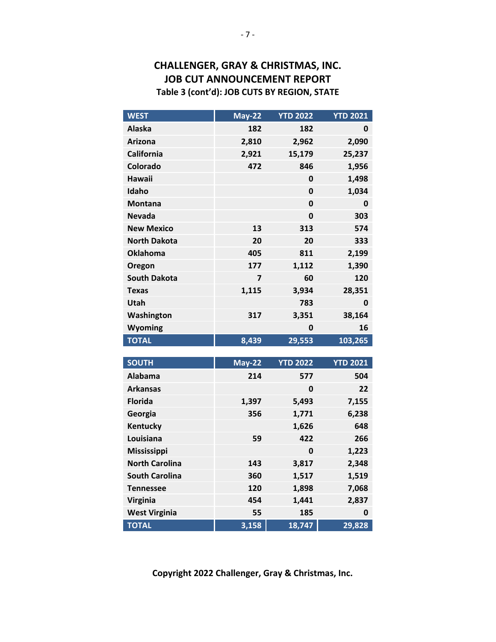## **CHALLENGER, GRAY & CHRISTMAS, INC. JOB CUT ANNOUNCEMENT REPORT Table 3 (cont'd): JOB CUTS BY REGION, STATE**

| <b>WEST</b>           | <b>May-22</b> | <b>YTD 2022</b> | <b>YTD 2021</b> |
|-----------------------|---------------|-----------------|-----------------|
| <b>Alaska</b>         | 182           | 182             | 0               |
| <b>Arizona</b>        | 2,810         | 2,962           | 2,090           |
| <b>California</b>     | 2,921         | 15,179          | 25,237          |
| Colorado              | 472           | 846             | 1,956           |
| <b>Hawaii</b>         |               | 0               | 1,498           |
| Idaho                 |               | $\mathbf 0$     | 1,034           |
| <b>Montana</b>        |               | 0               | 0               |
| <b>Nevada</b>         |               | $\mathbf 0$     | 303             |
| <b>New Mexico</b>     | 13            | 313             | 574             |
| <b>North Dakota</b>   | 20            | 20              | 333             |
| <b>Oklahoma</b>       | 405           | 811             | 2,199           |
| Oregon                | 177           | 1,112           | 1,390           |
| <b>South Dakota</b>   | 7             | 60              | 120             |
| <b>Texas</b>          | 1,115         | 3,934           | 28,351          |
| <b>Utah</b>           |               | 783             | 0               |
| Washington            | 317           | 3,351           | 38,164          |
| Wyoming               |               | 0               | 16              |
| <b>TOTAL</b>          | 8,439         | 29,553          | 103,265         |
|                       |               |                 |                 |
| <b>SOUTH</b>          | <b>May-22</b> | <b>YTD 2022</b> | <b>YTD 2021</b> |
| <b>Alabama</b>        | 214           | 577             | 504             |
| <b>Arkansas</b>       |               | 0               | 22              |
| <b>Florida</b>        | 1,397         | 5,493           | 7,155           |
| Georgia               | 356           | 1,771           | 6,238           |
| Kentucky              |               | 1,626           | 648             |
| Louisiana             | 59            | 422             | 266             |
| <b>Mississippi</b>    |               | $\mathbf{0}$    | 1,223           |
| <b>North Carolina</b> | 143           | 3,817           | 2,348           |
| <b>South Carolina</b> | 360           | 1,517           | 1,519           |
| <b>Tennessee</b>      | 120           | 1,898           | 7,068           |
|                       |               |                 |                 |

 **Copyright 2022 Challenger, Gray & Christmas, Inc.**

**West Virginia 55 185 0 TOTAL 3,158 18,747 29,828**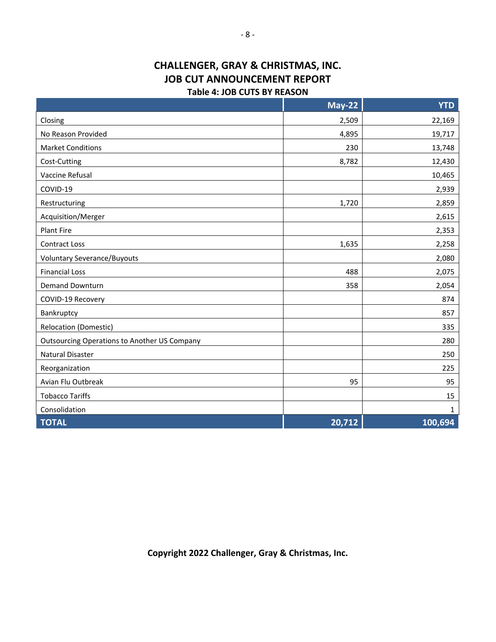# **CHALLENGER, GRAY & CHRISTMAS, INC. JOB CUT ANNOUNCEMENT REPORT**

#### **Table 4: JOB CUTS BY REASON**

|                                                     | <b>May-22</b> | <b>YTD</b>           |
|-----------------------------------------------------|---------------|----------------------|
| Closing                                             | 2,509         | 22,169               |
| No Reason Provided                                  | 4,895         | 19,717               |
| <b>Market Conditions</b>                            | 230           | 13,748               |
| Cost-Cutting                                        | 8,782         | 12,430               |
| Vaccine Refusal                                     |               | 10,465               |
| COVID-19                                            |               | 2,939                |
| Restructuring                                       | 1,720         | 2,859                |
| Acquisition/Merger                                  |               | 2,615                |
| <b>Plant Fire</b>                                   |               | 2,353                |
| <b>Contract Loss</b>                                | 1,635         | 2,258                |
| <b>Voluntary Severance/Buyouts</b>                  |               | 2,080                |
| <b>Financial Loss</b>                               | 488           | 2,075                |
| <b>Demand Downturn</b>                              | 358           | 2,054                |
| COVID-19 Recovery                                   |               | 874                  |
| Bankruptcy                                          |               | 857                  |
| <b>Relocation (Domestic)</b>                        |               | 335                  |
| <b>Outsourcing Operations to Another US Company</b> |               | 280                  |
| <b>Natural Disaster</b>                             |               | 250                  |
| Reorganization                                      |               | 225                  |
| Avian Flu Outbreak                                  | 95            | 95                   |
| <b>Tobacco Tariffs</b>                              |               | 15                   |
| Consolidation                                       |               | 1                    |
| <b>TOTAL</b>                                        | 20,712        | $\overline{100,694}$ |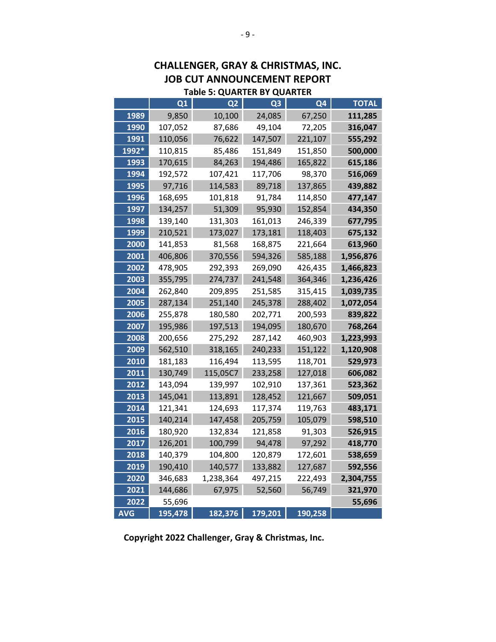|             |         |                                    |                | JOB CUT ANNOUNCEMENT<br><b>REPORI</b> |              |  |  |  |  |  |
|-------------|---------|------------------------------------|----------------|---------------------------------------|--------------|--|--|--|--|--|
|             |         | <b>Table 5: QUARTER BY QUARTER</b> |                |                                       |              |  |  |  |  |  |
|             | Q1      | Q2                                 | Q <sub>3</sub> | Q4                                    | <b>TOTAL</b> |  |  |  |  |  |
| 1989        | 9,850   | 10,100                             | 24,085         | 67,250                                | 111,285      |  |  |  |  |  |
| <b>1990</b> | 107,052 | 87,686                             | 49,104         | 72,205                                | 316,047      |  |  |  |  |  |
| 1991        | 110,056 | 76,622                             | 147,507        | 221,107                               | 555,292      |  |  |  |  |  |
| 1992*       | 110,815 | 85,486                             | 151,849        | 151,850                               | 500,000      |  |  |  |  |  |
| 1993        | 170,615 | 84,263                             | 194,486        | 165,822                               | 615,186      |  |  |  |  |  |
| 1994        | 192,572 | 107,421                            | 117,706        | 98,370                                | 516,069      |  |  |  |  |  |
| 1995        | 97,716  | 114,583                            | 89,718         | 137,865                               | 439,882      |  |  |  |  |  |
| 1996        | 168,695 | 101,818                            | 91,784         | 114,850                               | 477,147      |  |  |  |  |  |
| 1997        | 134,257 | 51,309                             | 95,930         | 152,854                               | 434,350      |  |  |  |  |  |
| 1998        | 139,140 | 131,303                            | 161,013        | 246,339                               | 677,795      |  |  |  |  |  |
| 1999        | 210,521 | 173,027                            | 173,181        | 118,403                               | 675,132      |  |  |  |  |  |
| 2000        | 141,853 | 81,568                             | 168,875        | 221,664                               | 613,960      |  |  |  |  |  |
| 2001        | 406,806 | 370,556                            | 594,326        | 585,188                               | 1,956,876    |  |  |  |  |  |
| 2002        | 478,905 | 292,393                            | 269,090        | 426,435                               | 1,466,823    |  |  |  |  |  |
| 2003        | 355,795 | 274,737                            | 241,548        | 364,346                               | 1,236,426    |  |  |  |  |  |
| 2004        | 262,840 | 209,895                            | 251,585        | 315,415                               | 1,039,735    |  |  |  |  |  |
| 2005        | 287,134 | 251,140                            | 245,378        | 288,402                               | 1,072,054    |  |  |  |  |  |
| 2006        | 255,878 | 180,580                            | 202,771        | 200,593                               | 839,822      |  |  |  |  |  |
| 2007        | 195,986 | 197,513                            | 194,095        | 180,670                               | 768,264      |  |  |  |  |  |
| 2008        | 200,656 | 275,292                            | 287,142        | 460,903                               | 1,223,993    |  |  |  |  |  |
| 2009        | 562,510 | 318,165                            | 240,233        | 151,122                               | 1,120,908    |  |  |  |  |  |
| 2010        | 181,183 | 116,494                            | 113,595        | 118,701                               | 529,973      |  |  |  |  |  |
| 2011        | 130,749 | 115,05C7                           | 233,258        | 127,018                               | 606,082      |  |  |  |  |  |
| 2012        | 143,094 | 139,997                            | 102,910        | 137,361                               | 523,362      |  |  |  |  |  |
| 2013        | 145,041 | 113,891                            | 128,452        | 121,667                               | 509,051      |  |  |  |  |  |
| 2014        | 121,341 | 124,693                            | 117,374        | 119,763                               | 483,171      |  |  |  |  |  |
| 2015        | 140,214 | 147,458                            | 205,759        | 105,079                               | 598,510      |  |  |  |  |  |
| 2016        | 180,920 | 132,834                            | 121,858        | 91,303                                | 526,915      |  |  |  |  |  |
| 2017        | 126,201 | 100,799                            | 94,478         | 97,292                                | 418,770      |  |  |  |  |  |
| 2018        | 140,379 | 104,800                            | 120,879        | 172,601                               | 538,659      |  |  |  |  |  |
| 2019        | 190,410 | 140,577                            | 133,882        | 127,687                               | 592,556      |  |  |  |  |  |
| 2020        | 346,683 | 1,238,364                          | 497,215        | 222,493                               | 2,304,755    |  |  |  |  |  |
| 2021        | 144,686 | 67,975                             | 52,560         | 56,749                                | 321,970      |  |  |  |  |  |
| 2022        | 55,696  |                                    |                |                                       | 55,696       |  |  |  |  |  |
| <b>AVG</b>  | 195,478 | 182,376                            | 179,201        | 190,258                               |              |  |  |  |  |  |

# **CHALLENGER, GRAY & CHRISTMAS, INC. JOB CUT ANNOUNCEMENT REPORT**

**Copyright 2022 Challenger, Gray & Christmas, Inc.**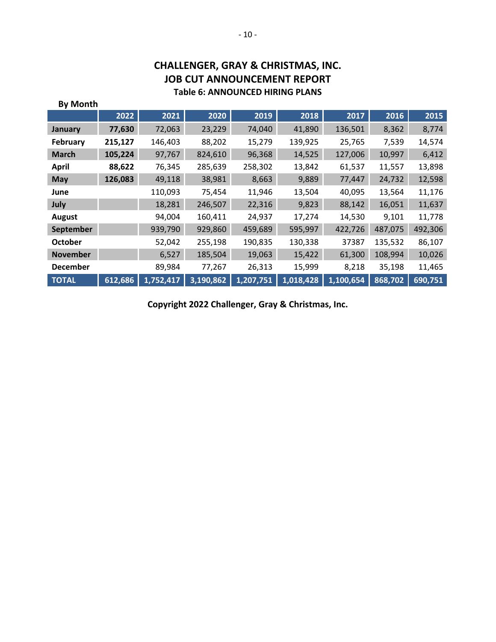| <b>By Month</b>  |         |           |           |           |           |           |         |         |
|------------------|---------|-----------|-----------|-----------|-----------|-----------|---------|---------|
|                  | 2022    | 2021      | 2020      | 2019      | 2018      | 2017      | 2016    | 2015    |
| January          | 77,630  | 72,063    | 23,229    | 74,040    | 41,890    | 136,501   | 8,362   | 8,774   |
| February         | 215,127 | 146,403   | 88,202    | 15,279    | 139,925   | 25,765    | 7,539   | 14,574  |
| <b>March</b>     | 105,224 | 97,767    | 824,610   | 96,368    | 14,525    | 127,006   | 10,997  | 6,412   |
| <b>April</b>     | 88,622  | 76,345    | 285,639   | 258,302   | 13,842    | 61,537    | 11,557  | 13,898  |
| <b>May</b>       | 126,083 | 49,118    | 38,981    | 8,663     | 9,889     | 77,447    | 24,732  | 12,598  |
| June             |         | 110,093   | 75,454    | 11,946    | 13,504    | 40,095    | 13,564  | 11,176  |
| July             |         | 18,281    | 246,507   | 22,316    | 9,823     | 88,142    | 16,051  | 11,637  |
| August           |         | 94,004    | 160,411   | 24,937    | 17,274    | 14,530    | 9,101   | 11,778  |
| <b>September</b> |         | 939,790   | 929,860   | 459,689   | 595,997   | 422,726   | 487,075 | 492,306 |
| <b>October</b>   |         | 52,042    | 255,198   | 190,835   | 130,338   | 37387     | 135,532 | 86,107  |
| <b>November</b>  |         | 6,527     | 185,504   | 19,063    | 15,422    | 61,300    | 108,994 | 10,026  |
| <b>December</b>  |         | 89,984    | 77,267    | 26,313    | 15,999    | 8,218     | 35,198  | 11,465  |
| <b>TOTAL</b>     | 612,686 | 1,752,417 | 3,190,862 | 1,207,751 | 1,018,428 | 1,100,654 | 868,702 | 690,751 |

### **CHALLENGER, GRAY & CHRISTMAS, INC. JOB CUT ANNOUNCEMENT REPORT Table 6: ANNOUNCED HIRING PLANS**